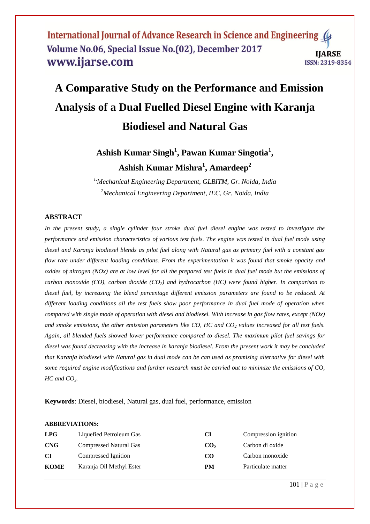# **A Comparative Study on the Performance and Emission Analysis of a Dual Fuelled Diesel Engine with Karanja Biodiesel and Natural Gas**

**Ashish Kumar Singh<sup>1</sup> , Pawan Kumar Singotia<sup>1</sup> , Ashish Kumar Mishra<sup>1</sup> , Amardeep<sup>2</sup>**

*1,Mechanical Engineering Department, GLBITM, Gr. Noida, India <sup>2</sup>Mechanical Engineering Department, IEC, Gr. Noida, India*

#### **ABSTRACT**

*In the present study, a single cylinder four stroke dual fuel diesel engine was tested to investigate the performance and emission characteristics of various test fuels. The engine was tested in dual fuel mode using diesel and Karanja biodiesel blends as pilot fuel along with Natural gas as primary fuel with a constant gas flow rate under different loading conditions. From the experimentation it was found that smoke opacity and oxides of nitrogen (NOx) are at low level for all the prepared test fuels in dual fuel mode but the emissions of carbon monoxide (CO), carbon dioxide (CO2) and hydrocarbon (HC) were found higher. In comparison to diesel fuel, by increasing the blend percentage different emission parameters are found to be reduced. At different loading conditions all the test fuels show poor performance in dual fuel mode of operation when compared with single mode of operation with diesel and biodiesel. With increase in gas flow rates, except (NOx) and smoke emissions, the other emission parameters like CO, HC and CO<sup>2</sup> values increased for all test fuels. Again, all blended fuels showed lower performance compared to diesel. The maximum pilot fuel savings for diesel was found decreasing with the increase in karanja biodiesel. From the present work it may be concluded that Karanja biodiesel with Natural gas in dual mode can be can used as promising alternative for diesel with some required engine modifications and further research must be carried out to minimize the emissions of CO, HC and CO2.*

**Keywords**: Diesel, biodiesel, Natural gas, dual fuel, performance, emission

#### **ABBREVIATIONS:**

| LPG         | Liquefied Petroleum Gas       | CI              | Compression ignition |
|-------------|-------------------------------|-----------------|----------------------|
| <b>CNG</b>  | <b>Compressed Natural Gas</b> | CO <sub>2</sub> | Carbon di oxide      |
| <b>CI</b>   | Compressed Ignition           | CO <sub>.</sub> | Carbon monoxide      |
| <b>KOME</b> | Karanja Oil Methyl Ester      | PM              | Particulate matter   |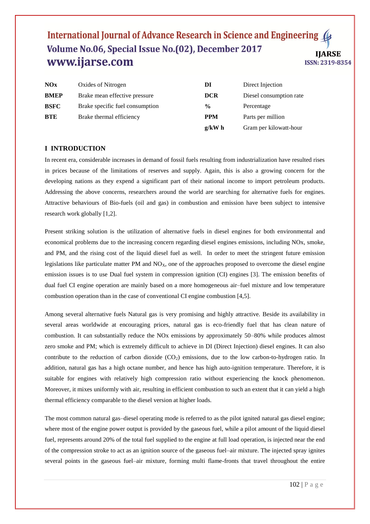| NOx         | Oxides of Nitrogen              | DI                                    | Direct Injection       |
|-------------|---------------------------------|---------------------------------------|------------------------|
| <b>BMEP</b> | Brake mean effective pressure   | <b>DCR</b><br>Diesel consumption rate |                        |
| <b>BSFC</b> | Brake specific fuel consumption | $\frac{6}{9}$                         | Percentage             |
| <b>BTE</b>  | Brake thermal efficiency        | <b>PPM</b><br>Parts per million       |                        |
|             |                                 | $g/kW$ h                              | Gram per kilowatt-hour |

#### **I INTRODUCTION**

In recent era, considerable increases in demand of fossil fuels resulting from industrialization have resulted rises in prices because of the limitations of reserves and supply. Again, this is also a growing concern for the developing nations as they expend a significant part of their national income to import petroleum products. Addressing the above concerns, researchers around the world are searching for alternative fuels for engines. Attractive behaviours of Bio-fuels (oil and gas) in combustion and emission have been subject to intensive research work globally [1,2].

Present striking solution is the utilization of alternative fuels in diesel engines for both environmental and economical problems due to the increasing concern regarding diesel engines emissions, including NOx, smoke, and PM, and the rising cost of the liquid diesel fuel as well. In order to meet the stringent future emission legislations like particulate matter PM and  $NO<sub>X</sub>$ , one of the approaches proposed to overcome the diesel engine emission issues is to use Dual fuel system in compression ignition (CI) engines [3]. The emission benefits of dual fuel CI engine operation are mainly based on a more homogeneous air–fuel mixture and low temperature combustion operation than in the case of conventional CI engine combustion [4,5].

Among several alternative fuels Natural gas is very promising and highly attractive. Beside its availability in several areas worldwide at encouraging prices, natural gas is eco-friendly fuel that has clean nature of combustion. It can substantially reduce the NOx emissions by approximately 50–80% while produces almost zero smoke and PM; which is extremely difficult to achieve in DI (Direct Injection) diesel engines. It can also contribute to the reduction of carbon dioxide  $(CO<sub>2</sub>)$  emissions, due to the low carbon-to-hydrogen ratio. In addition, natural gas has a high octane number, and hence has high auto-ignition temperature. Therefore, it is suitable for engines with relatively high compression ratio without experiencing the knock phenomenon. Moreover, it mixes uniformly with air, resulting in efficient combustion to such an extent that it can yield a high thermal efficiency comparable to the diesel version at higher loads.

The most common natural gas–diesel operating mode is referred to as the pilot ignited natural gas diesel engine; where most of the engine power output is provided by the gaseous fuel, while a pilot amount of the liquid diesel fuel, represents around 20% of the total fuel supplied to the engine at full load operation, is injected near the end of the compression stroke to act as an ignition source of the gaseous fuel–air mixture. The injected spray ignites several points in the gaseous fuel–air mixture, forming multi flame-fronts that travel throughout the entire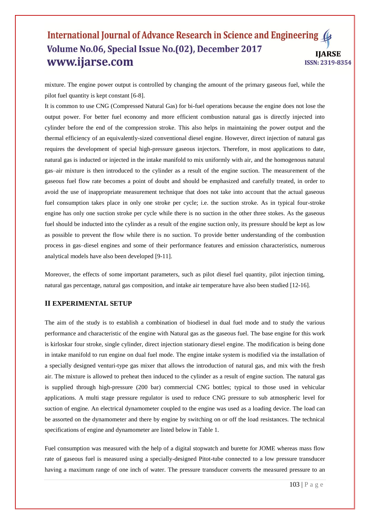mixture. The engine power output is controlled by changing the amount of the primary gaseous fuel, while the pilot fuel quantity is kept constant [6-8].

It is common to use CNG (Compressed Natural Gas) for bi-fuel operations because the engine does not lose the output power. For better fuel economy and more efficient combustion natural gas is directly injected into cylinder before the end of the compression stroke. This also helps in maintaining the power output and the thermal efficiency of an equivalently-sized conventional diesel engine. However, direct injection of natural gas requires the development of special high-pressure gaseous injectors. Therefore, in most applications to date, natural gas is inducted or injected in the intake manifold to mix uniformly with air, and the homogenous natural gas–air mixture is then introduced to the cylinder as a result of the engine suction. The measurement of the gaseous fuel flow rate becomes a point of doubt and should be emphasized and carefully treated, in order to avoid the use of inappropriate measurement technique that does not take into account that the actual gaseous fuel consumption takes place in only one stroke per cycle; i.e. the suction stroke. As in typical four-stroke engine has only one suction stroke per cycle while there is no suction in the other three stokes. As the gaseous fuel should be inducted into the cylinder as a result of the engine suction only, its pressure should be kept as low as possible to prevent the flow while there is no suction. To provide better understanding of the combustion process in gas–diesel engines and some of their performance features and emission characteristics, numerous analytical models have also been developed [9-11].

Moreover, the effects of some important parameters, such as pilot diesel fuel quantity, pilot injection timing, natural gas percentage, natural gas composition, and intake air temperature have also been studied [12-16].

#### **II EXPERIMENTAL SETUP**

The aim of the study is to establish a combination of biodiesel in dual fuel mode and to study the various performance and characteristic of the engine with Natural gas as the gaseous fuel. The base engine for this work is kirloskar four stroke, single cylinder, direct injection stationary diesel engine. The modification is being done in intake manifold to run engine on dual fuel mode. The engine intake system is modified via the installation of a specially designed venturi-type gas mixer that allows the introduction of natural gas, and mix with the fresh air. The mixture is allowed to preheat then induced to the cylinder as a result of engine suction. The natural gas is supplied through high-pressure (200 bar) commercial CNG bottles; typical to those used in vehicular applications. A multi stage pressure regulator is used to reduce CNG pressure to sub atmospheric level for suction of engine. An electrical dynamometer coupled to the engine was used as a loading device. The load can be assorted on the dynamometer and there by engine by switching on or off the load resistances. The technical specifications of engine and dynamometer are listed below in Table 1.

Fuel consumption was measured with the help of a digital stopwatch and burette for JOME whereas mass flow rate of gaseous fuel is measured using a specially-designed Pitot-tube connected to a low pressure transducer having a maximum range of one inch of water. The pressure transducer converts the measured pressure to an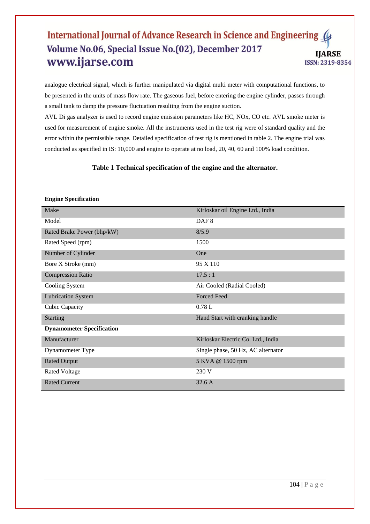analogue electrical signal, which is further manipulated via digital multi meter with computational functions, to be presented in the units of mass flow rate. The gaseous fuel, before entering the engine cylinder, passes through a small tank to damp the pressure fluctuation resulting from the engine suction.

AVL Di gas analyzer is used to record engine emission parameters like HC, NOx, CO etc. AVL smoke meter is used for measurement of engine smoke. All the instruments used in the test rig were of standard quality and the error within the permissible range. Detailed specification of test rig is mentioned in table 2. The engine trial was conducted as specified in IS: 10,000 and engine to operate at no load, 20, 40, 60 and 100% load condition.

# **Table 1 Technical specification of the engine and the alternator.**

| <b>Engine Specification</b>      |                                    |  |  |
|----------------------------------|------------------------------------|--|--|
| Make                             | Kirloskar oil Engine Ltd., India   |  |  |
| Model                            | DAF <sub>8</sub>                   |  |  |
| Rated Brake Power (bhp/kW)       | 8/5.9                              |  |  |
| Rated Speed (rpm)                | 1500                               |  |  |
| Number of Cylinder               | One                                |  |  |
| Bore X Stroke (mm)               | 95 X 110                           |  |  |
| <b>Compression Ratio</b>         | 17.5:1                             |  |  |
| Cooling System                   | Air Cooled (Radial Cooled)         |  |  |
| <b>Lubrication System</b>        | <b>Forced Feed</b>                 |  |  |
| Cubic Capacity                   | 0.78L                              |  |  |
| <b>Starting</b>                  | Hand Start with cranking handle    |  |  |
| <b>Dynamometer Specification</b> |                                    |  |  |
| Manufacturer                     | Kirloskar Electric Co. Ltd., India |  |  |
| Dynamometer Type                 | Single phase, 50 Hz, AC alternator |  |  |
| <b>Rated Output</b>              | 5 KVA @ 1500 rpm                   |  |  |
| <b>Rated Voltage</b>             | 230 V                              |  |  |
| <b>Rated Current</b>             | 32.6A                              |  |  |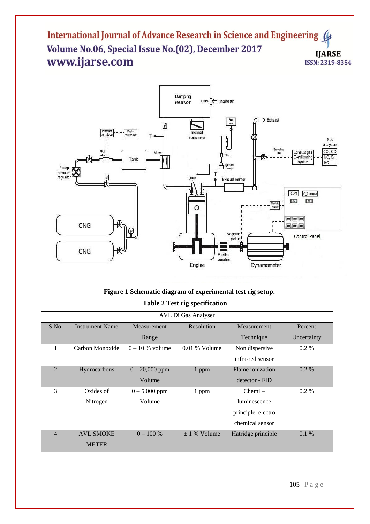

# **Figure 1 Schematic diagram of experimental test rig setup. Table 2 Test rig specification**

| AVL Di Gas Analyser |                        |                   |                           |                           |             |  |
|---------------------|------------------------|-------------------|---------------------------|---------------------------|-------------|--|
| S.No.               | <b>Instrument Name</b> | Measurement       | Resolution<br>Measurement |                           | Percent     |  |
|                     |                        | Range             |                           | Technique                 | Uncertainty |  |
|                     | Carbon Monoxide        | $0 - 10$ % volume | $0.01\%$ Volume           | Non dispersive<br>$0.2\%$ |             |  |
|                     |                        |                   |                           | infra-red sensor          |             |  |
| $\overline{2}$      | Hydrocarbons           | $0 - 20,000$ ppm  | 1 ppm                     | Flame ionization          | $0.2\%$     |  |
|                     |                        | Volume            |                           | detector - FID            |             |  |
| 3                   | Oxides of              | $0 - 5,000$ ppm   | 1 ppm                     | $Chemi -$<br>$0.2\%$      |             |  |
|                     | Nitrogen               | Volume            |                           | luminescence              |             |  |
|                     |                        |                   |                           | principle, electro        |             |  |
|                     |                        |                   |                           | chemical sensor           |             |  |
| $\overline{4}$      | <b>AVL SMOKE</b>       | $0 - 100 %$       | $\pm$ 1 % Volume          | Hatridge principle        | $0.1\%$     |  |
|                     | <b>METER</b>           |                   |                           |                           |             |  |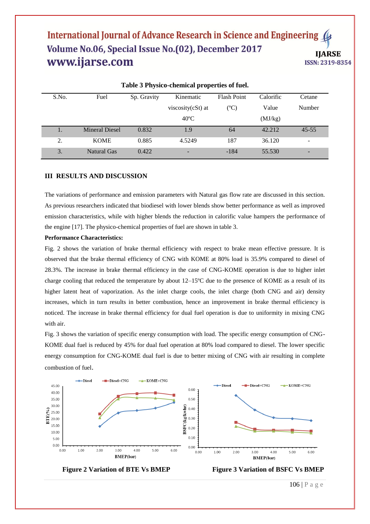| Table 5 I hysico-chemical properties of fuel. |                       |             |                   |                    |           |                          |  |
|-----------------------------------------------|-----------------------|-------------|-------------------|--------------------|-----------|--------------------------|--|
| S.No.                                         | Fuel                  | Sp. Gravity | Kinematic         | <b>Flash Point</b> | Calorific | Cetane                   |  |
|                                               |                       |             | viscosity(cSt) at | $({}^{\circ}C)$    | Value     | Number                   |  |
|                                               |                       |             | $40^{\circ}$ C    |                    | (MJ/kg)   |                          |  |
| 1.                                            | <b>Mineral Diesel</b> | 0.832       | 1.9               | 64                 | 42.212    | $45 - 55$                |  |
| 2.                                            | <b>KOME</b>           | 0.885       | 4.5249            | 187                | 36.120    | -                        |  |
| 3.                                            | Natural Gas           | 0.422       |                   | $-184$             | 55.530    | $\overline{\phantom{0}}$ |  |

**Table 3 Physico-chemical properties of fuel.**

# **III RESULTS AND DISCUSSION**

The variations of performance and emission parameters with Natural gas flow rate are discussed in this section. As previous researchers indicated that biodiesel with lower blends show better performance as well as improved emission characteristics, while with higher blends the reduction in calorific value hampers the performance of the engine [17]. The physico-chemical properties of fuel are shown in table 3.

#### **Performance Characteristics:**

Fig. 2 shows the variation of brake thermal efficiency with respect to brake mean effective pressure. It is observed that the brake thermal efficiency of CNG with KOME at 80% load is 35.9% compared to diesel of 28.3%. The increase in brake thermal efficiency in the case of CNG-KOME operation is due to higher inlet charge cooling that reduced the temperature by about 12–15ºC due to the presence of KOME as a result of its higher latent heat of vaporization. As the inlet charge cools, the inlet charge (both CNG and air) density increases, which in turn results in better combustion, hence an improvement in brake thermal efficiency is noticed. The increase in brake thermal efficiency for dual fuel operation is due to uniformity in mixing CNG with air.

Fig. 3 shows the variation of specific energy consumption with load. The specific energy consumption of CNG-KOME dual fuel is reduced by 45% for dual fuel operation at 80% load compared to diesel. The lower specific energy consumption for CNG-KOME dual fuel is due to better mixing of CNG with air resulting in complete combustion of fuel.





**Figure 2 Variation of BTE Vs BMEP Figure 3 Variation of BSFC Vs BMEP**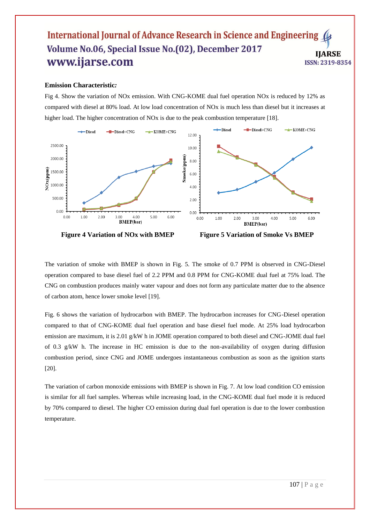#### **Emission Characteristic***:*

Fig 4. Show the variation of NOx emission. With CNG-KOME dual fuel operation NOx is reduced by 12% as compared with diesel at 80% load. At low load concentration of NOx is much less than diesel but it increases at higher load. The higher concentration of NOx is due to the peak combustion temperature [18].



 **Figure 4 Variation of NOx with BMEP Figure 5 Variation of Smoke Vs BMEP**

The variation of smoke with BMEP is shown in Fig. 5. The smoke of 0.7 PPM is observed in CNG-Diesel operation compared to base diesel fuel of 2.2 PPM and 0.8 PPM for CNG-KOME dual fuel at 75% load. The CNG on combustion produces mainly water vapour and does not form any particulate matter due to the absence of carbon atom, hence lower smoke level [19].

Fig. 6 shows the variation of hydrocarbon with BMEP. The hydrocarbon increases for CNG-Diesel operation compared to that of CNG-KOME dual fuel operation and base diesel fuel mode. At 25% load hydrocarbon emission are maximum, it is 2.01 g/kW h in JOME operation compared to both diesel and CNG-JOME dual fuel of 0.3 g/kW h. The increase in HC emission is due to the non-availability of oxygen during diffusion combustion period, since CNG and JOME undergoes instantaneous combustion as soon as the ignition starts [20].

The variation of carbon monoxide emissions with BMEP is shown in Fig. 7. At low load condition CO emission is similar for all fuel samples. Whereas while increasing load, in the CNG-KOME dual fuel mode it is reduced by 70% compared to diesel. The higher CO emission during dual fuel operation is due to the lower combustion temperature.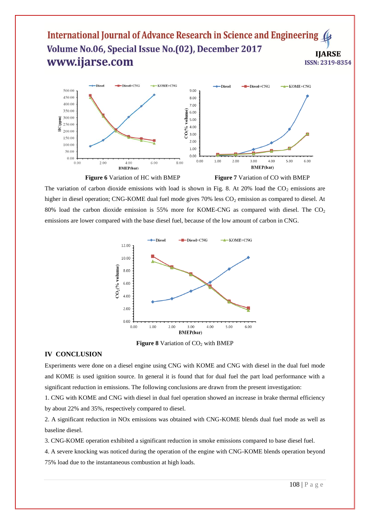

The variation of carbon dioxide emissions with load is shown in Fig. 8. At 20% load the  $CO<sub>2</sub>$  emissions are higher in diesel operation; CNG-KOME dual fuel mode gives 70% less CO<sub>2</sub> emission as compared to diesel. At 80% load the carbon dioxide emission is 55% more for KOME-CNG as compared with diesel. The  $CO<sub>2</sub>$ emissions are lower compared with the base diesel fuel, because of the low amount of carbon in CNG.



**Figure 8** Variation of CO<sub>2</sub> with BMEP

#### **IV CONCLUSION**

Experiments were done on a diesel engine using CNG with KOME and CNG with diesel in the dual fuel mode and KOME is used ignition source. In general it is found that for dual fuel the part load performance with a significant reduction in emissions. The following conclusions are drawn from the present investigation:

1. CNG with KOME and CNG with diesel in dual fuel operation showed an increase in brake thermal efficiency by about 22% and 35%, respectively compared to diesel.

2. A significant reduction in NOx emissions was obtained with CNG-KOME blends dual fuel mode as well as baseline diesel.

3. CNG-KOME operation exhibited a significant reduction in smoke emissions compared to base diesel fuel.

4. A severe knocking was noticed during the operation of the engine with CNG-KOME blends operation beyond 75% load due to the instantaneous combustion at high loads.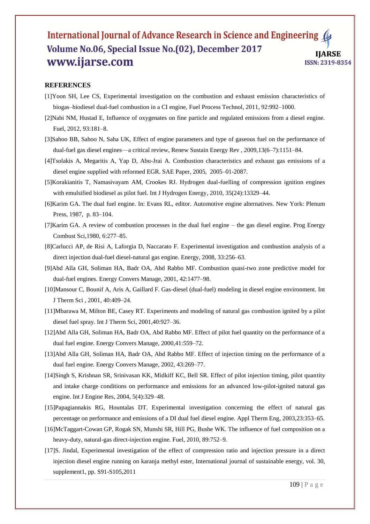#### **REFERENCES**

- [1]Yoon SH, Lee CS, Experimental investigation on the combustion and exhaust emission characteristics of biogas–biodiesel dual-fuel combustion in a CI engine, Fuel Process Technol, 2011, 92:992–1000.
- [2]Nabi NM, Hustad E, Influence of oxygenates on fine particle and regulated emissions from a diesel engine. Fuel, 2012, 93:181–8.
- [3]Sahoo BB, Sahoo N, Saha UK, Effect of engine parameters and type of gaseous fuel on the performance of dual-fuel gas diesel engines—a critical review, Renew Sustain Energy Rev , 2009,13(6–7):1151–84.
- [4]Tsolakis A, Megaritis A, Yap D, Abu-Jrai A. Combustion characteristics and exhaust gas emissions of a diesel engine supplied with reformed EGR. SAE Paper, 2005, 2005–01-2087.
- [5]Korakianitis T, Namasivayam AM, Crookes RJ. Hydrogen dual-fuelling of compression ignition engines with emulsified biodiesel as pilot fuel. Int J Hydrogen Energy, 2010, 35(24):13329–44.
- [6]Karim GA. The dual fuel engine. In: Evans RL, editor. Automotive engine alternatives. New York: Plenum Press, 1987, p. 83–104.
- [7]Karim GA. A review of combustion processes in the dual fuel engine the gas diesel engine. Prog Energy Combust Sci,1980, 6:277–85.
- [8]Carlucci AP, de Risi A, Laforgia D, Naccarato F. Experimental investigation and combustion analysis of a direct injection dual-fuel diesel-natural gas engine. Energy, 2008, 33:256–63.
- [9]Abd Alla GH, Soliman HA, Badr OA, Abd Rabbo MF. Combustion quasi-two zone predictive model for dual-fuel engines. Energy Convers Manage, 2001, 42:1477–98.
- [10]Mansour C, Bounif A, Aris A, Gaillard F. Gas-diesel (dual-fuel) modeling in diesel engine environment. Int J Therm Sci , 2001, 40:409–24.
- [11]Mbarawa M, Milton BE, Casey RT. Experiments and modeling of natural gas combustion ignited by a pilot diesel fuel spray. Int J Therm Sci, 2001,40:927–36.
- [12]Abd Alla GH, Soliman HA, Badr OA, Abd Rabbo MF. Effect of pilot fuel quantity on the performance of a dual fuel engine. Energy Convers Manage, 2000,41:559–72.
- [13]Abd Alla GH, Soliman HA, Badr OA, Abd Rabbo MF. Effect of injection timing on the performance of a dual fuel engine. Energy Convers Manage, 2002, 43:269–77.
- [14]Singh S, Krishnan SR, Srinivasan KK, Midkiff KC, Bell SR. Effect of pilot injection timing, pilot quantity and intake charge conditions on performance and emissions for an advanced low-pilot-ignited natural gas engine. Int J Engine Res, 2004, 5(4):329–48.
- [15]Papagiannakis RG, Hountalas DT. Experimental investigation concerning the effect of natural gas percentage on performance and emissions of a DI dual fuel diesel engine. Appl Therm Eng, 2003,23:353–65.
- [16]McTaggart-Cowan GP, Rogak SN, Munshi SR, Hill PG, Bushe WK. The influence of fuel composition on a heavy-duty, natural-gas direct-injection engine. Fuel, 2010, 89:752–9.
- [17]S. Jindal, Experimental investigation of the effect of compression ratio and injection pressure in a direct injection diesel engine running on karanja methyl ester, International journal of sustainable energy, vol. 30, supplement1, pp. S91-S105,2011